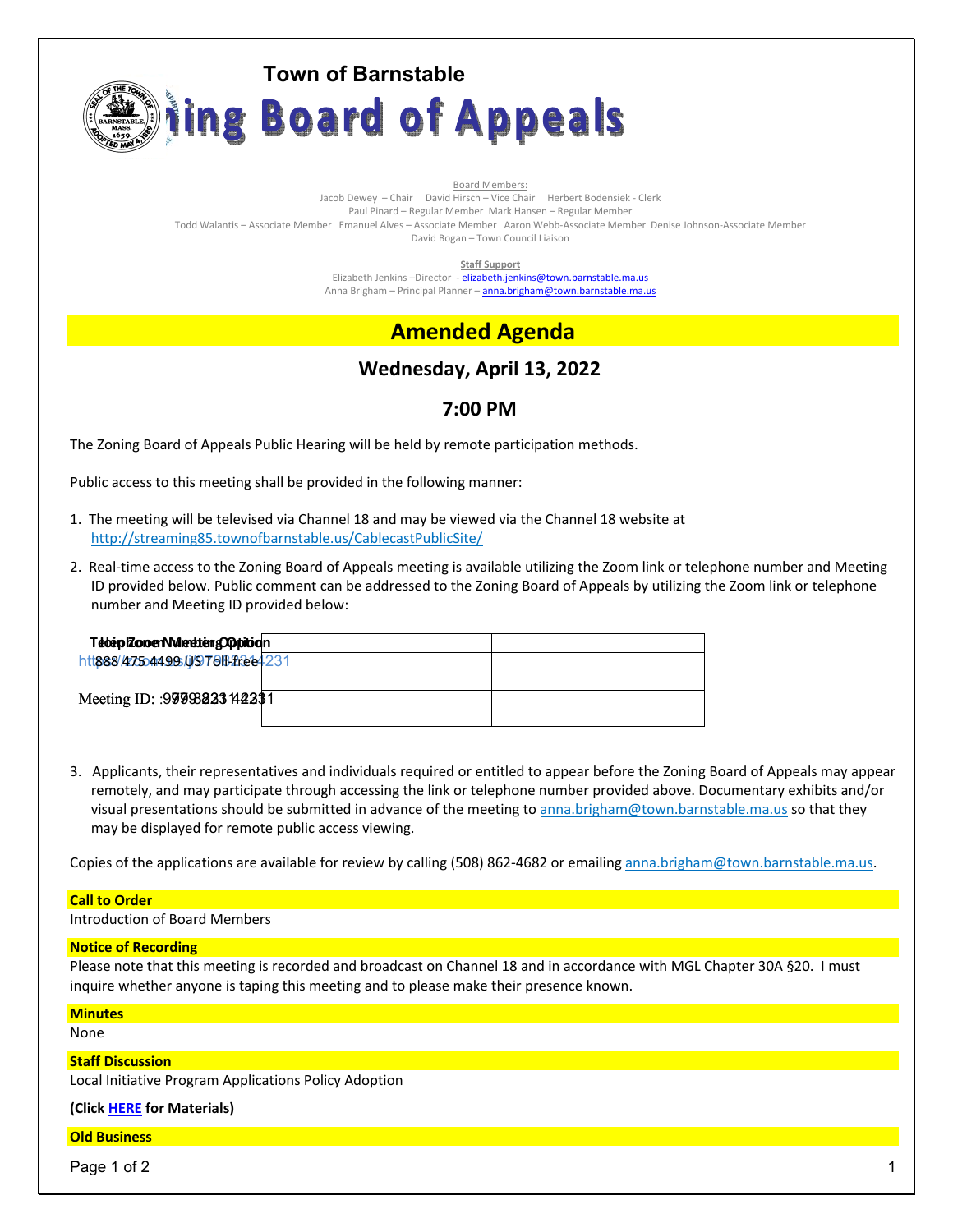

Board Members: Jacob Dewey – Chair David Hirsch – Vice Chair Herbert Bodensiek - Clerk Paul Pinard – Regular Member Mark Hansen – Regular Member Todd Walantis – Associate Member Emanuel Alves – Associate Member Aaron Webb-Associate Member Denise Johnson-Associate Member David Bogan – Town Council Liaison

**Staff Support** 

Elizabeth Jenkins -Director - elizabeth.jenkins@town.barnstable.ma.us Anna Brigham - Principal Planner - anna.brigham@town.barnstable.ma.us

# **Amended Agenda**

# **Wednesday, April 13, 2022**

# **7:00 PM**

The Zoning Board of Appeals Public Hearing will be held by remote participation methods.

Public access to this meeting shall be provided in the following manner:

- 1. The meeting will be televised via Channel 18 and may be viewed via the Channel 18 website at http://streaming85.townofbarnstable.us/CablecastPublicSite/
- 2. Real-time access to the Zoning Board of Appeals meeting is available utilizing the Zoom link or telephone number and Meeting ID provided below. Public comment can be addressed to the Zoning Board of Appeals by utilizing the Zoom link or telephone number and Meeting ID provided below:

| Teben Zonen Medden Obbiban<br>htt888/475544995UST0fBffee4231 |  |
|--------------------------------------------------------------|--|
| Meeting ID: : 99998233 142231                                |  |

3. Applicants, their representatives and individuals required or entitled to appear before the Zoning Board of Appeals may appear remotely, and may participate through accessing the link or telephone number provided above. Documentary exhibits and/or visual presentations should be submitted in advance of the meeting to anna.brigham@town.barnstable.ma.us so that they may be displayed for remote public access viewing.

Copies of the applications are available for review by calling (508) 862-4682 or emailing anna.brigham@town.barnstable.ma.us.

## **Call to Order**

Introduction of Board Members

## **Notice of Recording**

Please note that this meeting is recorded and broadcast on Channel 18 and in accordance with MGL Chapter 30A §20. I must inquire whether anyone is taping this meeting and to please make their presence known.

**Minutes** 

None

## **Staff Discussion**

Local Initiative Program Applications Policy Adoption

**(Click HERE for Materials)** 

### **Old Business**

Page 1 of 2  $\hphantom{\ddots}$